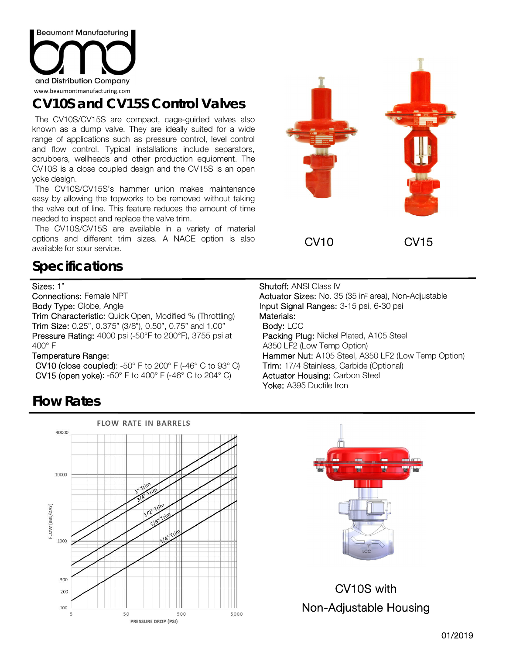

# **CV10S and CV15S Control Valves**

The CV10S/CV15S are compact, cage-guided valves also known as a dump valve. They are ideally suited for a wide range of applications such as pressure control, level control and flow control. Typical installations include separators, scrubbers, wellheads and other production equipment. The CV10S is a close coupled design and the CV15S is an open yoke design.

The CV10S/CV15S's hammer union makes maintenance easy by allowing the topworks to be removed without taking the valve out of line. This feature reduces the amount of time needed to inspect and replace the valve trim.

The CV10S/CV15S are available in a variety of material options and different trim sizes. A NACE option is also available for sour service.

## **Specifications**

### Sizes: 1"

Connections: Female NPT

Body Type: Globe, Angle

Trim Characteristic: Quick Open, Modified % (Throttling) Trim Size: 0.25", 0.375" (3/8"), 0.50", 0.75" and 1.00" Pressure Rating: 4000 psi (-50°F to 200°F), 3755 psi at 400° F

#### Temperature Range:

CV10 (close coupled):  $-50^\circ$  F to 200° F  $(-46^\circ$  C to 93° C) CV15 (open yoke): -50° F to 400° F (-46° C to 204° C)



#### Shutoff: ANSI Class IV **Actuator Sizes:** No. 35 (35 in<sup>2</sup> area), Non-Adjustable Input Signal Ranges: 3-15 psi, 6-30 psi Materials: Body: LCC Packing Plug: Nickel Plated, A105 Steel A350 LF2 (Low Temp Option) Hammer Nut: A105 Steel, A350 LF2 (Low Temp Option) Trim: 17/4 Stainless, Carbide (Optional) Actuator Housing: Carbon Steel Yoke: A395 Ductile Iron

## **Flow Rates**





CV10S with Non-Adjustable Housing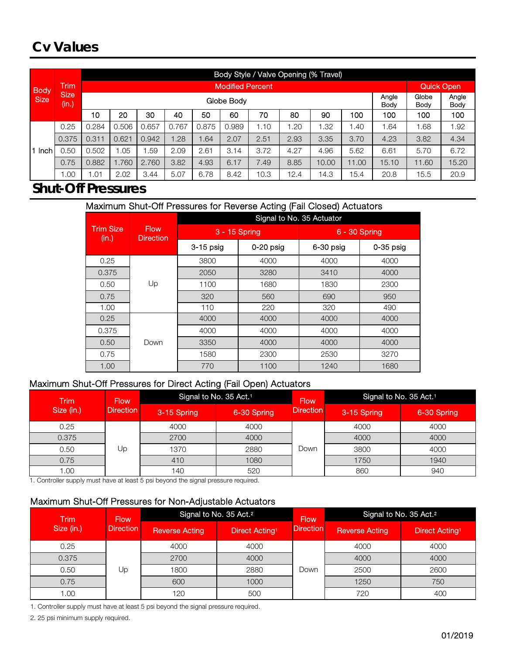## **Cv Values**

|             |                      |                             |                         |       |       |       |       |      |      | Body Style / Valve Opening (% Travel) |               |       |       |       |  |  |  |
|-------------|----------------------|-----------------------------|-------------------------|-------|-------|-------|-------|------|------|---------------------------------------|---------------|-------|-------|-------|--|--|--|
| <b>Body</b> | <b>Trim</b>          |                             | <b>Modified Percent</b> |       |       |       |       |      |      | Quick Open                            |               |       |       |       |  |  |  |
| <b>Size</b> | <b>Size</b><br>(in.) | Angle<br>Globe Body<br>Body |                         |       |       |       |       |      |      | Globe<br>Body                         | Angle<br>Body |       |       |       |  |  |  |
|             |                      | 10                          | 20                      | 30    | 40    | 50    | 60    | 70   | 80   | 90                                    | 100           | 100   | 100   | 100   |  |  |  |
|             | 0.25                 | 0.284                       | 0.506                   | 0.657 | 0.767 | 0.875 | 0.989 | 1.10 | 1.20 | .32                                   | 1.40          | 1.64  | 1.68  | 1.92  |  |  |  |
|             | 0.375                | 0.311                       | 0.621                   | 0.942 | .28   | .64   | 2.07  | 2.51 | 2.93 | 3.35                                  | 3.70          | 4.23  | 3.82  | 4.34  |  |  |  |
| Inch        | 0.50                 | 0.502                       | 1.05                    | .59   | 2.09  | 2.61  | 3.14  | 3.72 | 4.27 | 4.96                                  | 5.62          | 6.61  | 5.70  | 6.72  |  |  |  |
|             | 0.75                 | 0.882                       | 1.760                   | 2.760 | 3.82  | 4.93  | 6.17  | 7.49 | 8.85 | 10.00                                 | 11.00         | 15.10 | 11.60 | 15.20 |  |  |  |
|             | 0.00                 | 01.،                        | 2.02                    | 3.44  | 5.07  | 6.78  | 8.42  | 10.3 | 12.4 | 14.3                                  | 15.4          | 20.8  | 15.5  | 20.9  |  |  |  |

## **Shut-Off Pressures**

### Maximum Shut-Off Pressures for Reverse Acting (Fail Closed) Actuators

|                           |                                 | Signal to No. 35 Actuator |             |               |             |  |  |  |
|---------------------------|---------------------------------|---------------------------|-------------|---------------|-------------|--|--|--|
| <b>Trim Size</b><br>(in.) | <b>Flow</b><br><b>Direction</b> | 3 - 15 Spring             |             | 6 - 30 Spring |             |  |  |  |
|                           |                                 | 3-15 psig                 | $0-20$ psig | 6-30 psig     | $0-35$ psig |  |  |  |
| 0.25                      |                                 | 3800                      | 4000        | 4000          | 4000        |  |  |  |
| 0.375                     |                                 | 2050                      | 3280        | 3410          | 4000        |  |  |  |
| 0.50                      | Up                              | 1100                      | 1680        | 1830          | 2300        |  |  |  |
| 0.75                      |                                 | 320                       | 560         | 690           | 950         |  |  |  |
| 1.00                      |                                 | 110                       | 220         | 320           | 490         |  |  |  |
| 0.25                      |                                 | 4000                      | 4000        | 4000          | 4000        |  |  |  |
| 0.375                     |                                 | 4000                      | 4000        | 4000          | 4000        |  |  |  |
| 0.50                      | Down                            | 3350                      | 4000        | 4000          | 4000        |  |  |  |
| 0.75                      |                                 | 1580                      | 2300        | 2530          | 3270        |  |  |  |
| 1.00                      |                                 | 770                       | 1100        | 1240          | 1680        |  |  |  |

## Maximum Shut-Off Pressures for Direct Acting (Fail Open) Actuators

| <b>Trim</b> | <b>Flow</b>      | Signal to No. 35 Act. <sup>1</sup> |             | <b>Flow</b>      | Signal to No. 35 Act. <sup>11</sup> |             |
|-------------|------------------|------------------------------------|-------------|------------------|-------------------------------------|-------------|
| Size (in.)  | <b>Direction</b> | 3-15 Spring                        | 6-30 Spring | <b>Direction</b> | 3-15 Spring                         | 6-30 Spring |
| 0.25        |                  | 4000                               | 4000        |                  | 4000                                | 4000        |
| 0.375       |                  | 2700                               | 4000        |                  | 4000                                | 4000        |
| 0.50        | Jp               | 1370                               | 2880        | Down             | 3800                                | 4000        |
| 0.75        |                  | 410                                | 1080        |                  | 1750                                | 1940        |
| 0.00        |                  | 140                                | 520         |                  | 860                                 | 940         |

1. Controller supply must have at least 5 psi beyond the signal pressure required.

### Maximum Shut-Off Pressures for Non-Adjustable Actuators

| <b>Trim</b> | <b>Flow</b>      |                       | Signal to No. 35 Act. <sup>2</sup> | <b>Flow</b>      | Signal to No. 35 Act. <sup>2</sup> |                            |
|-------------|------------------|-----------------------|------------------------------------|------------------|------------------------------------|----------------------------|
| Size (in.)  | <b>Direction</b> | <b>Reverse Acting</b> | Direct Acting <sup>1</sup>         | <b>Direction</b> | <b>Reverse Acting</b>              | Direct Acting <sup>1</sup> |
| 0.25        |                  | 4000                  | 4000                               |                  | 4000                               | 4000                       |
| 0.375       |                  | 2700                  | 4000                               |                  | 4000                               | 4000                       |
| 0.50        | Up               | 1800                  | 2880                               | Down             | 2500                               | 2600                       |
| 0.75        |                  | 600                   | 1000                               |                  | 1250                               | 750                        |
| 00.1        |                  | 120                   | 500                                |                  | 720                                | 400                        |

1. Controller supply must have at least 5 psi beyond the signal pressure required.

2. 25 psi minimum supply required.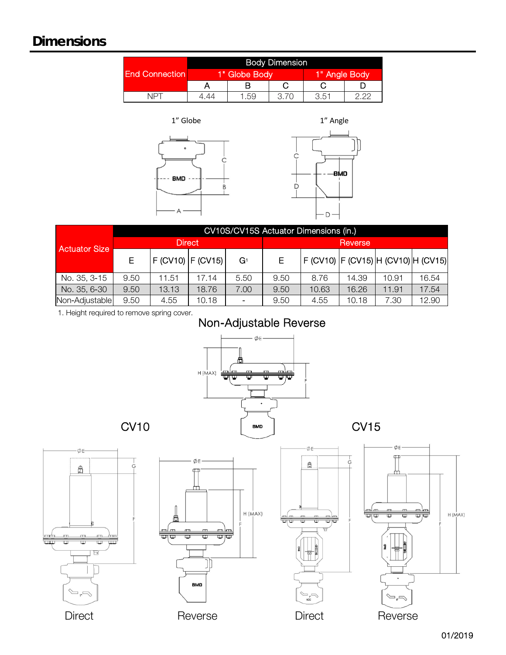# **Dimensions**

|                       | <b>Body Dimension</b> |               |               |      |  |  |  |
|-----------------------|-----------------------|---------------|---------------|------|--|--|--|
| <b>End Connection</b> |                       | 1" Globe Body | 1" Angle Body |      |  |  |  |
|                       |                       |               |               |      |  |  |  |
| NPT                   | 1 44                  | .59           | 3 70          | 3.51 |  |  |  |

1" Globe





|                      | CV10S/CV15S Actuator Dimensions (in.) |                       |       |       |         |                                        |       |       |       |  |
|----------------------|---------------------------------------|-----------------------|-------|-------|---------|----------------------------------------|-------|-------|-------|--|
| <b>Actuator Size</b> | <b>Direct</b>                         |                       |       |       | Reverse |                                        |       |       |       |  |
|                      | E                                     | $F$ (CV10) $F$ (CV15) |       | $G_1$ |         | F (CV10)  F (CV15)  H (CV10)  H (CV15) |       |       |       |  |
| No. 35, 3-15         | 9.50                                  | 11.51                 | 17.14 | 5.50  | 9.50    | 8.76                                   | 14.39 | 10.91 | 16.54 |  |
| No. 35, 6-30         | 9.50                                  | 13.13                 | 18.76 | 7.00  | 9.50    | 10.63                                  | 16.26 | 11.91 | 17.54 |  |
| Non-Adjustable       | 9.50                                  | 4.55                  | 10.18 |       | 9.50    | 4.55                                   | 10.18 | 7.30  | 12.90 |  |

1. Height required to remove spring cover.

# Non-Adjustable Reverse



01/2019